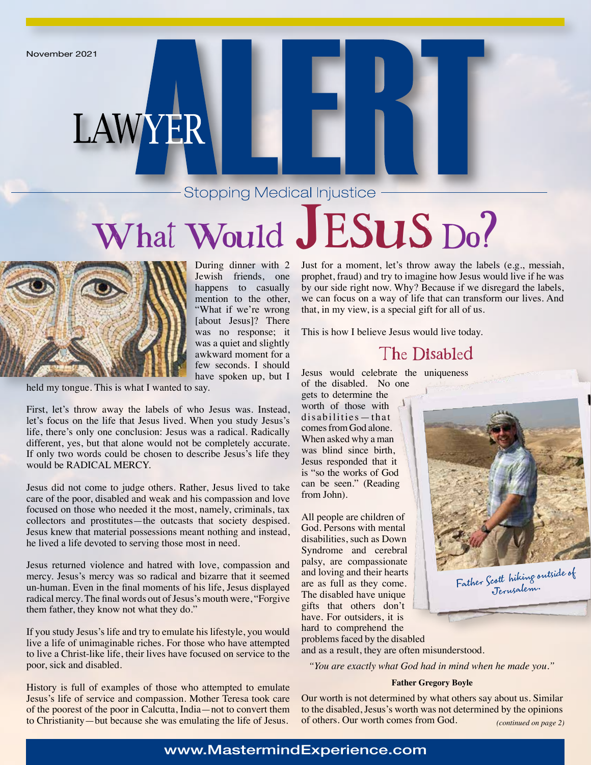### **Stopping Medical Injustice -**

# What Would JESUS Do?



During dinner with 2 Jewish friends, one happens to casually mention to the other, "What if we're wrong [about Jesus]? There was no response; it was a quiet and slightly awkward moment for a few seconds. I should have spoken up, but I

held my tongue. This is what I wanted to say.

LAWYER

First, let's throw away the labels of who Jesus was. Instead, let's focus on the life that Jesus lived. When you study Jesus's life, there's only one conclusion: Jesus was a radical. Radically different, yes, but that alone would not be completely accurate. If only two words could be chosen to describe Jesus's life they would be RADICAL MERCY.

Jesus did not come to judge others. Rather, Jesus lived to take care of the poor, disabled and weak and his compassion and love focused on those who needed it the most, namely, criminals, tax collectors and prostitutes—the outcasts that society despised. Jesus knew that material possessions meant nothing and instead, he lived a life devoted to serving those most in need.

Jesus returned violence and hatred with love, compassion and mercy. Jesus's mercy was so radical and bizarre that it seemed un-human. Even in the final moments of his life, Jesus displayed radical mercy. The final words out of Jesus's mouth were, "Forgive them father, they know not what they do."

If you study Jesus's life and try to emulate his lifestyle, you would live a life of unimaginable riches. For those who have attempted to live a Christ-like life, their lives have focused on service to the poor, sick and disabled.

History is full of examples of those who attempted to emulate Jesus's life of service and compassion. Mother Teresa took care of the poorest of the poor in Calcutta, India—not to convert them to Christianity—but because she was emulating the life of Jesus.

Just for a moment, let's throw away the labels (e.g., messiah, prophet, fraud) and try to imagine how Jesus would live if he was by our side right now. Why? Because if we disregard the labels, we can focus on a way of life that can transform our lives. And that, in my view, is a special gift for all of us.

This is how I believe Jesus would live today.

### The Disabled

Jesus would celebrate the uniqueness of the disabled. No one

gets to determine the worth of those with disabilities—that comes from God alone. When asked why a man was blind since birth, Jesus responded that it is "so the works of God can be seen." (Reading from John).

All people are children of God. Persons with mental disabilities, such as Down Syndrome and cerebral palsy, are compassionate and loving and their hearts are as full as they come. The disabled have unique gifts that others don't have. For outsiders, it is hard to comprehend the



problems faced by the disabled and as a result, they are often misunderstood.

*"You are exactly what God had in mind when he made you."*

#### **Father Gregory Boyle**

Our worth is not determined by what others say about us. Similar to the disabled, Jesus's worth was not determined by the opinions of others. Our worth comes from God. *(continued on page 2)*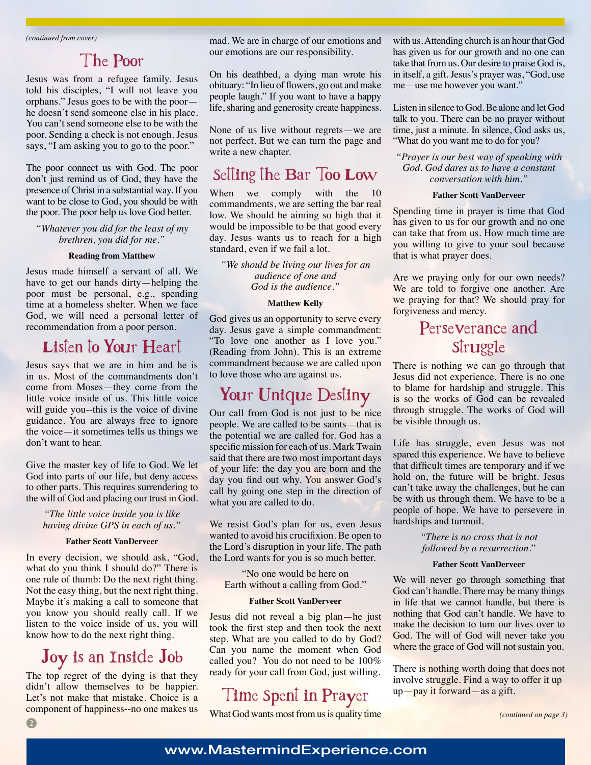### The Poor

Jesus was from a refugee family. Jesus told his disciples, "I will not leave you orphans." Jesus goes to be with the poor he doesn't send someone else in his place. You can't send someone else to be with the poor. Sending a check is not enough. Jesus says, "I am asking you to go to the poor."

The poor connect us with God. The poor don't just remind us of God, they have the presence of Christ in a substantial way. If you want to be close to God, you should be with the poor. The poor help us love God better.

*"Whatever you did for the least of my brethren, you did for me."*

#### **Reading from Matthew**

Jesus made himself a servant of all. We have to get our hands dirty—helping the poor must be personal, e.g., spending time at a homeless shelter. When we face God, we will need a personal letter of recommendation from a poor person.

### Listen to Your Heart

Jesus says that we are in him and he is in us. Most of the commandments don't come from Moses—they come from the little voice inside of us. This little voice will guide you--this is the voice of divine guidance. You are always free to ignore the voice—it sometimes tells us things we don't want to hear.

Give the master key of life to God. We let God into parts of our life, but deny access to other parts. This requires surrendering to the will of God and placing our trust in God.

*"The little voice inside you is like having divine GPS in each of us."*

#### **Father Scott VanDerveer**

In every decision, we should ask, "God, what do you think I should do?" There is one rule of thumb: Do the next right thing. Not the easy thing, but the next right thing. Maybe it's making a call to someone that you know you should really call. If we listen to the voice inside of us, you will know how to do the next right thing.

### Joy is an Inside Job

The top regret of the dying is that they didn't allow themselves to be happier. Let's not make that mistake. Choice is a component of happiness--no one makes us

mad. We are in charge of our emotions and our emotions are our responsibility.

On his deathbed, a dying man wrote his obituary: "In lieu of flowers, go out and make people laugh." If you want to have a happy life, sharing and generosity create happiness.

None of us live without regrets—we are not perfect. But we can turn the page and write a new chapter.

### Setting the Bar Too Low

When we comply with the 10 commandments, we are setting the bar real low. We should be aiming so high that it would be impossible to be that good every day. Jesus wants us to reach for a high standard, even if we fail a lot.

*"We should be living our lives for an audience of one and God is the audience."*

#### **Matthew Kelly**

God gives us an opportunity to serve every day. Jesus gave a simple commandment: "To love one another as I love you." (Reading from John). This is an extreme commandment because we are called upon to love those who are against us.

### Your Unique Destiny

Our call from God is not just to be nice people. We are called to be saints—that is the potential we are called for. God has a specific mission for each of us. Mark Twain said that there are two most important days of your life: the day you are born and the day you find out why. You answer God's call by going one step in the direction of what you are called to do.

We resist God's plan for us, even Jesus wanted to avoid his crucifixion. Be open to the Lord's disruption in your life. The path the Lord wants for you is so much better.

"No one would be here on Earth without a calling from God."

#### **Father Scott VanDerveer**

Jesus did not reveal a big plan—he just took the first step and then took the next step. What are you called to do by God? Can you name the moment when God called you? You do not need to be 100% ready for your call from God, just willing.

### Time Spent in Prayer

What God wants most from us is quality time

with us. Attending church is an hour that God has given us for our growth and no one can take that from us. Our desire to praise God is, in itself, a gift. Jesus's prayer was, "God, use me—use me however you want."

Listen in silence to God. Be alone and let God talk to you. There can be no prayer without time, just a minute. In silence, God asks us, "What do you want me to do for you?

#### *"Prayer is our best way of speaking with God. God dares us to have a constant conversation with him."*

#### **Father Scott VanDerveer**

Spending time in prayer is time that God has given to us for our growth and no one can take that from us. How much time are you willing to give to your soul because that is what prayer does.

Are we praying only for our own needs? We are told to forgive one another. Are we praying for that? We should pray for forgiveness and mercy.

### Perseverance and **Struggle**

There is nothing we can go through that Jesus did not experience. There is no one to blame for hardship and struggle. This is so the works of God can be revealed through struggle. The works of God will be visible through us.

Life has struggle, even Jesus was not spared this experience. We have to believe that difficult times are temporary and if we hold on, the future will be bright. Jesus can't take away the challenges, but he can be with us through them. We have to be a people of hope. We have to persevere in hardships and turmoil.

> *"There is no cross that is not followed by a resurrection.*"

#### **Father Scott VanDerveer**

We will never go through something that God can't handle. There may be many things in life that we cannot handle, but there is nothing that God can't handle. We have to make the decision to turn our lives over to God. The will of God will never take you where the grace of God will not sustain you.

There is nothing worth doing that does not involve struggle. Find a way to offer it up up—pay it forward—as a gift.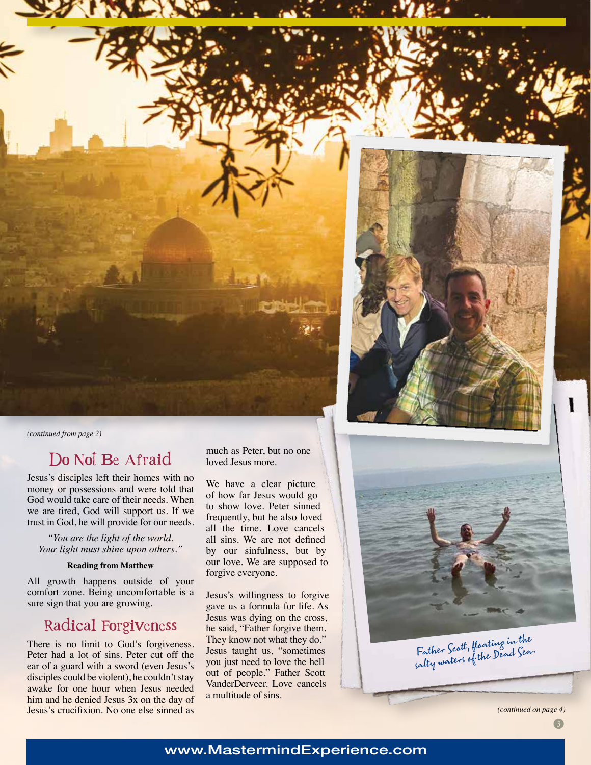

*(continued from page 2)*

### Do Not Be Afraid

Jesus's disciples left their homes with no money or possessions and were told that God would take care of their needs. When we are tired, God will support us. If we trust in God, he will provide for our needs.

*"You are the light of the world. Your light must shine upon others."*

#### **Reading from Matthew**

All growth happens outside of your comfort zone. Being uncomfortable is a sure sign that you are growing.

### Radical Forgiveness

There is no limit to God's forgiveness. Peter had a lot of sins. Peter cut off the ear of a guard with a sword (even Jesus's disciples could be violent), he couldn't stay awake for one hour when Jesus needed him and he denied Jesus 3x on the day of Jesus's crucifixion. No one else sinned as much as Peter, but no one loved Jesus more.

We have a clear picture of how far Jesus would go to show love. Peter sinned frequently, but he also loved all the time. Love cancels all sins. We are not defined by our sinfulness, but by our love. We are supposed to forgive everyone.

Jesus's willingness to forgive gave us a formula for life. As Jesus was dying on the cross, he said, "Father forgive them. They know not what they do." Jesus taught us, "sometimes you just need to love the hell out of people." Father Scott VanderDerveer. Love cancels a multitude of sins.

*(continued on page 4)*

Father Scott, floating in the Father Scott, man Dead Sea.<br>salty waters of the Dead Sea.

### www.MastermindExperience.com

 $\boxed{3}$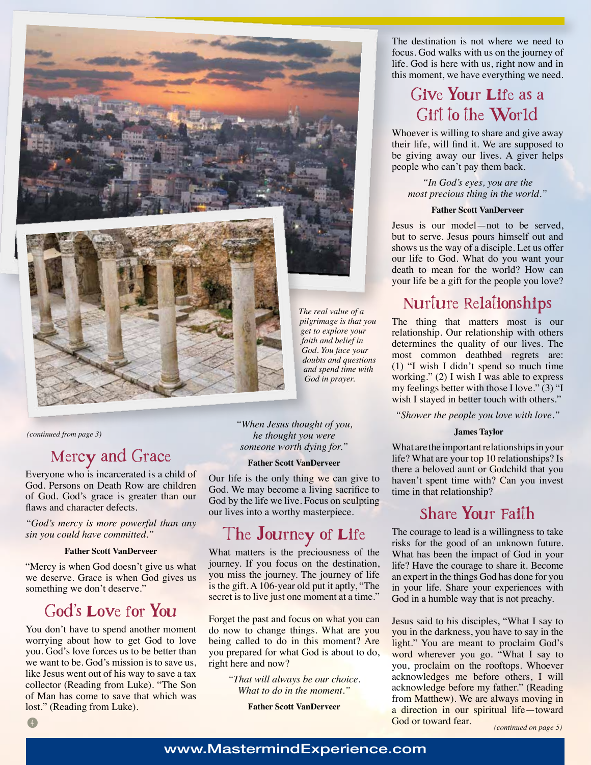

*(continued from page 3)*

### Mercy and Grace

Everyone who is incarcerated is a child of God. Persons on Death Row are children of God. God's grace is greater than our flaws and character defects.

*"God's mercy is more powerful than any sin you could have committed."*

#### **Father Scott VanDerveer**

"Mercy is when God doesn't give us what we deserve. Grace is when God gives us something we don't deserve."

### God's Love for You

You don't have to spend another moment worrying about how to get God to love you. God's love forces us to be better than we want to be. God's mission is to save us, like Jesus went out of his way to save a tax collector (Reading from Luke). "The Son of Man has come to save that which was lost." (Reading from Luke).

*"When Jesus thought of you, he thought you were someone worth dying for."*

#### **Father Scott VanDerveer**

Our life is the only thing we can give to God. We may become a living sacrifice to God by the life we live. Focus on sculpting our lives into a worthy masterpiece.

### The Journey of Life

What matters is the preciousness of the journey. If you focus on the destination, you miss the journey. The journey of life is the gift. A 106-year old put it aptly, "The secret is to live just one moment at a time."

Forget the past and focus on what you can do now to change things. What are you being called to do in this moment? Are you prepared for what God is about to do, right here and now?

> *"That will always be our choice. What to do in the moment."*

> > **Father Scott VanDerveer**

The destination is not where we need to focus. God walks with us on the journey of life. God is here with us, right now and in this moment, we have everything we need.

### Give Your Life as a Gift to the World

Whoever is willing to share and give away their life, will find it. We are supposed to be giving away our lives. A giver helps people who can't pay them back.

*"In God's eyes, you are the most precious thing in the world."*

#### **Father Scott VanDerveer**

Jesus is our model—not to be served, but to serve. Jesus pours himself out and shows us the way of a disciple. Let us offer our life to God. What do you want your death to mean for the world? How can your life be a gift for the people you love?

### Nurture Relationships

The thing that matters most is our relationship. Our relationship with others determines the quality of our lives. The most common deathbed regrets are: (1) "I wish I didn't spend so much time working." (2) I wish I was able to express my feelings better with those I love." (3) "I wish I stayed in better touch with others."

*"Shower the people you love with love."*

#### **James Taylor**

What are the important relationships in your life? What are your top 10 relationships? Is there a beloved aunt or Godchild that you haven't spent time with? Can you invest time in that relationship?

### Share Your Faith

The courage to lead is a willingness to take risks for the good of an unknown future. What has been the impact of God in your life? Have the courage to share it. Become an expert in the things God has done for you in your life. Share your experiences with God in a humble way that is not preachy.

Jesus said to his disciples, "What I say to you in the darkness, you have to say in the light." You are meant to proclaim God's word wherever you go. "What I say to you, proclaim on the rooftops. Whoever acknowledges me before others, I will acknowledge before my father." (Reading from Matthew). We are always moving in a direction in our spiritual life—toward God or toward fear.

*(continued on page 5)*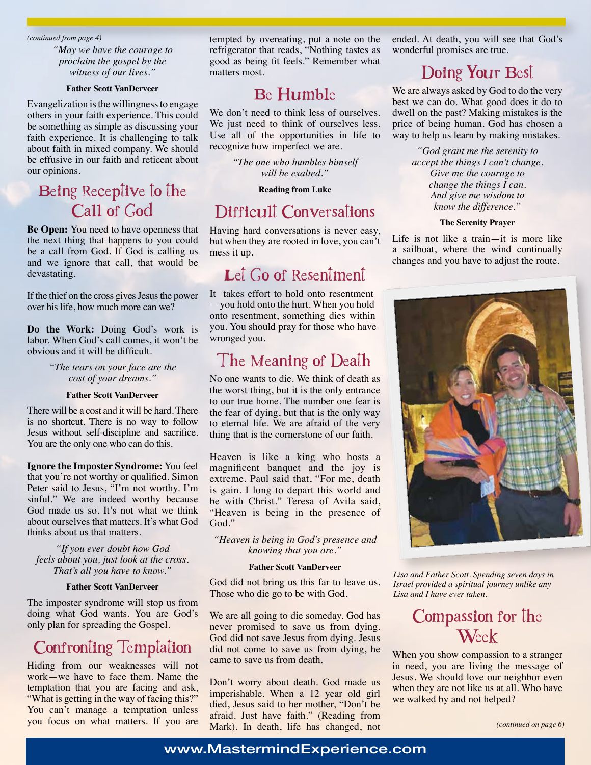*(continued from page 4)*

*"May we have the courage to proclaim the gospel by the witness of our lives."*

#### **Father Scott VanDerveer**

Evangelization is the willingness to engage others in your faith experience. This could be something as simple as discussing your faith experience. It is challenging to talk about faith in mixed company. We should be effusive in our faith and reticent about our opinions.

### Being Receptive to the Call of God

**Be Open:** You need to have openness that the next thing that happens to you could be a call from God. If God is calling us and we ignore that call, that would be devastating.

If the thief on the cross gives Jesus the power over his life, how much more can we?

**Do the Work:** Doing God's work is labor. When God's call comes, it won't be obvious and it will be difficult.

> *"The tears on your face are the cost of your dreams."*

#### **Father Scott VanDerveer**

There will be a cost and it will be hard. There is no shortcut. There is no way to follow Jesus without self-discipline and sacrifice. You are the only one who can do this.

**Ignore the Imposter Syndrome:** You feel that you're not worthy or qualified. Simon Peter said to Jesus, "I'm not worthy. I'm sinful." We are indeed worthy because God made us so. It's not what we think about ourselves that matters. It's what God thinks about us that matters.

*"If you ever doubt how God feels about you, just look at the cross. That's all you have to know."*

#### **Father Scott VanDerveer**

The imposter syndrome will stop us from doing what God wants. You are God's only plan for spreading the Gospel.

### Confronting Temptation

Hiding from our weaknesses will not work—we have to face them. Name the temptation that you are facing and ask, "What is getting in the way of facing this?" You can't manage a temptation unless you focus on what matters. If you are tempted by overeating, put a note on the refrigerator that reads, "Nothing tastes as good as being fit feels." Remember what matters most.

### Be Humble

We don't need to think less of ourselves. We just need to think of ourselves less. Use all of the opportunities in life to recognize how imperfect we are.

> *"The one who humbles himself will be exalted."*

> > **Reading from Luke**

### Difficult Conversations

Having hard conversations is never easy, but when they are rooted in love, you can't mess it up.

### Let Go of Resentment

It takes effort to hold onto resentment —you hold onto the hurt. When you hold onto resentment, something dies within you. You should pray for those who have wronged you.

### The Meaning of Death

No one wants to die. We think of death as the worst thing, but it is the only entrance to our true home. The number one fear is the fear of dying, but that is the only way to eternal life. We are afraid of the very thing that is the cornerstone of our faith.

Heaven is like a king who hosts a magnificent banquet and the joy is extreme. Paul said that, "For me, death is gain. I long to depart this world and be with Christ." Teresa of Avila said, "Heaven is being in the presence of God."

*"Heaven is being in God's presence and knowing that you are."*

#### **Father Scott VanDerveer**

God did not bring us this far to leave us. Those who die go to be with God.

We are all going to die someday. God has never promised to save us from dying. God did not save Jesus from dying. Jesus did not come to save us from dying, he came to save us from death.

Don't worry about death. God made us imperishable. When a 12 year old girl died, Jesus said to her mother, "Don't be afraid. Just have faith." (Reading from Mark). In death, life has changed, not ended. At death, you will see that God's wonderful promises are true.

### Doing Your Best

We are always asked by God to do the very best we can do. What good does it do to dwell on the past? Making mistakes is the price of being human. God has chosen a way to help us learn by making mistakes.

*"God grant me the serenity to accept the things I can't change. Give me the courage to change the things I can. And give me wisdom to know the difference."*

#### **The Serenity Prayer**

Life is not like a train—it is more like a sailboat, where the wind continually changes and you have to adjust the route.



*Lisa and Father Scott. Spending seven days in Israel provided a spiritual journey unlike any Lisa and I have ever taken.*

### Compassion for the Week

When you show compassion to a stranger in need, you are living the message of Jesus. We should love our neighbor even when they are not like us at all. Who have we walked by and not helped?

*(continued on page 6)*